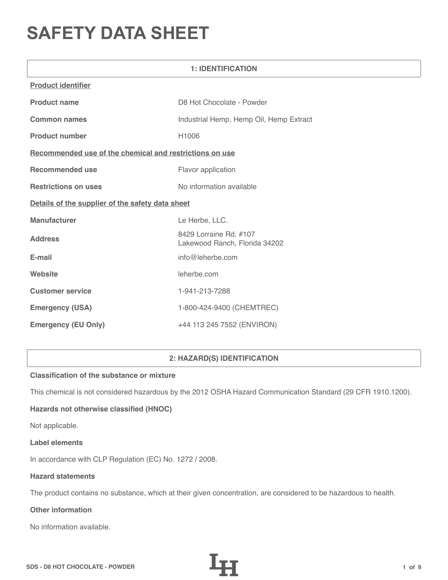# **SAFETY DATA SHEET**

| <b>1: IDENTIFICATION</b>                                |                                                         |  |
|---------------------------------------------------------|---------------------------------------------------------|--|
| <b>Product identifier</b>                               |                                                         |  |
| <b>Product name</b>                                     | D8 Hot Chocolate - Powder                               |  |
| <b>Common names</b>                                     | Industrial Hemp, Hemp Oil, Hemp Extract                 |  |
| <b>Product number</b>                                   | H1006                                                   |  |
| Recommended use of the chemical and restrictions on use |                                                         |  |
| <b>Recommended use</b>                                  | Flavor application                                      |  |
| <b>Restrictions on uses</b>                             | No information available                                |  |
| Details of the supplier of the safety data sheet        |                                                         |  |
| Manufacturer                                            | Le Herbe, LLC.                                          |  |
| <b>Address</b>                                          | 8429 Lorraine Rd. #107<br>Lakewood Ranch, Florida 34202 |  |
| E-mail                                                  | info@leherbe.com                                        |  |
| Website                                                 | leherbe.com                                             |  |
| <b>Customer service</b>                                 | 1-941-213-7288                                          |  |
| <b>Emergency (USA)</b>                                  | 1-800-424-9400 (CHEMTREC)                               |  |
| <b>Emergency (EU Only)</b>                              | +44 113 245 7552 (ENVIRON)                              |  |

# **2: HAZARD(S) IDENTIFICATION**

# **Classification of the substance or mixture**

This chemical is not considered hazardous by the 2012 OSHA Hazard Communication Standard (29 CFR 1910.1200).

# **Hazards not otherwise classified (HNOC)**

Not applicable.

#### **Label elements**

In accordance with CLP Regulation (EC) No. 1272 / 2008.

## **Hazard statements**

The product contains no substance, which at their given concentration, are considered to be hazardous to health.

# **Other information**

No information available.

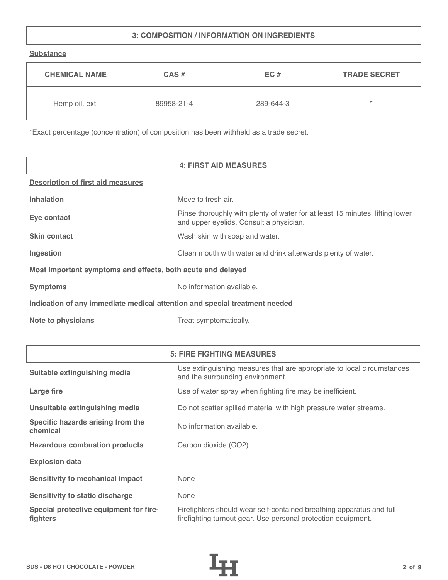# **3: COMPOSITION / INFORMATION ON INGREDIENTS**

**Substance**

| <b>CHEMICAL NAME</b> | $CAS \#$   | EC#       | <b>TRADE SECRET</b> |
|----------------------|------------|-----------|---------------------|
| Hemp oil, ext.       | 89958-21-4 | 289-644-3 | $\star$             |

\*Exact percentage (concentration) of composition has been withheld as a trade secret.

|                                                                            | <b>4: FIRST AID MEASURES</b>                                                                                            |  |
|----------------------------------------------------------------------------|-------------------------------------------------------------------------------------------------------------------------|--|
| <b>Description of first aid measures</b>                                   |                                                                                                                         |  |
| <b>Inhalation</b>                                                          | Move to fresh air.                                                                                                      |  |
| Eye contact                                                                | Rinse thoroughly with plenty of water for at least 15 minutes, lifting lower<br>and upper eyelids. Consult a physician. |  |
| <b>Skin contact</b>                                                        | Wash skin with soap and water.                                                                                          |  |
| Ingestion                                                                  | Clean mouth with water and drink afterwards plenty of water.                                                            |  |
| Most important symptoms and effects, both acute and delayed                |                                                                                                                         |  |
| <b>Symptoms</b>                                                            | No information available.                                                                                               |  |
| Indication of any immediate medical attention and special treatment needed |                                                                                                                         |  |
| <b>Note to physicians</b>                                                  | Treat symptomatically.                                                                                                  |  |

|                                                    | <b>5: FIRE FIGHTING MEASURES</b>                                                                                                      |
|----------------------------------------------------|---------------------------------------------------------------------------------------------------------------------------------------|
| Suitable extinguishing media                       | Use extinguishing measures that are appropriate to local circumstances<br>and the surrounding environment.                            |
| Large fire                                         | Use of water spray when fighting fire may be inefficient.                                                                             |
| Unsuitable extinguishing media                     | Do not scatter spilled material with high pressure water streams.                                                                     |
| Specific hazards arising from the<br>chemical      | No information available.                                                                                                             |
| <b>Hazardous combustion products</b>               | Carbon dioxide (CO2).                                                                                                                 |
| <b>Explosion data</b>                              |                                                                                                                                       |
| <b>Sensitivity to mechanical impact</b>            | None                                                                                                                                  |
| <b>Sensitivity to static discharge</b>             | None                                                                                                                                  |
| Special protective equipment for fire-<br>fighters | Firefighters should wear self-contained breathing apparatus and full<br>firefighting turnout gear. Use personal protection equipment. |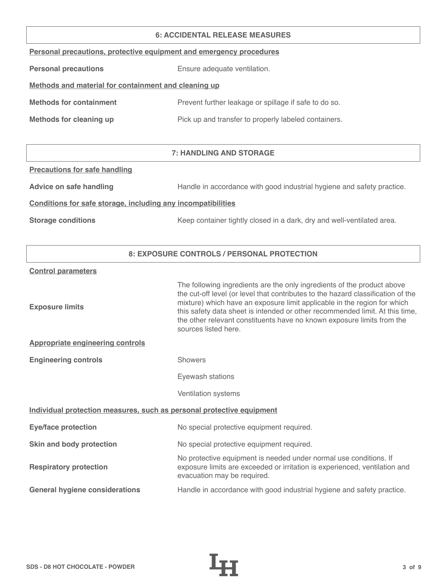#### **6: ACCIDENTAL RELEASE MEASURES**

| Personal precautions, protective equipment and emergency procedures |  |  |  |
|---------------------------------------------------------------------|--|--|--|
|                                                                     |  |  |  |

**Personal precautions** Ensure adequate ventilation.

# **Methods and material for containment and cleaning up**

| <b>Methods for containment</b> | Prevent further leakage or spillage if safe to do so. |
|--------------------------------|-------------------------------------------------------|
|                                |                                                       |

**Methods for cleaning up Pick up and transfer to properly labeled containers.** 

# **7: HANDLING AND STORAGE**

## **Precautions for safe handling**

Advice on safe handling **Handle in accordance with good industrial hygiene and safety practice.** 

## **Conditions for safe storage, including any incompatibilities**

**Storage conditions** Keep container tightly closed in a dark, dry and well-ventilated area.

# **8: EXPOSURE CONTROLS / PERSONAL PROTECTION**

#### **Control parameters**

| <b>Exposure limits</b>                                                | The following ingredients are the only ingredients of the product above<br>the cut-off level (or level that contributes to the hazard classification of the<br>mixture) which have an exposure limit applicable in the region for which<br>this safety data sheet is intended or other recommended limit. At this time,<br>the other relevant constituents have no known exposure limits from the<br>sources listed here. |
|-----------------------------------------------------------------------|---------------------------------------------------------------------------------------------------------------------------------------------------------------------------------------------------------------------------------------------------------------------------------------------------------------------------------------------------------------------------------------------------------------------------|
| <b>Appropriate engineering controls</b>                               |                                                                                                                                                                                                                                                                                                                                                                                                                           |
| <b>Engineering controls</b>                                           | <b>Showers</b>                                                                                                                                                                                                                                                                                                                                                                                                            |
|                                                                       | Eyewash stations                                                                                                                                                                                                                                                                                                                                                                                                          |
|                                                                       | Ventilation systems                                                                                                                                                                                                                                                                                                                                                                                                       |
| Individual protection measures, such as personal protective equipment |                                                                                                                                                                                                                                                                                                                                                                                                                           |
| <b>Eye/face protection</b>                                            | No special protective equipment required.                                                                                                                                                                                                                                                                                                                                                                                 |
| Skin and body protection                                              | No special protective equipment required.                                                                                                                                                                                                                                                                                                                                                                                 |
| <b>Respiratory protection</b>                                         | No protective equipment is needed under normal use conditions. If<br>exposure limits are exceeded or irritation is experienced, ventilation and<br>evacuation may be required.                                                                                                                                                                                                                                            |
| <b>General hygiene considerations</b>                                 | Handle in accordance with good industrial hygiene and safety practice.                                                                                                                                                                                                                                                                                                                                                    |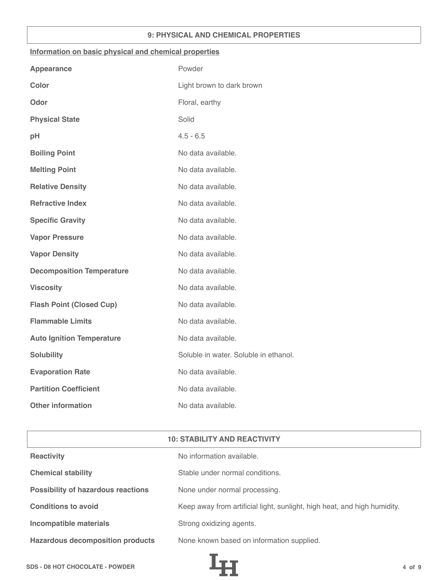## **9: PHYSICAL AND CHEMICAL PROPERTIES**

#### **Information on basic physical and chemical properties**

| <b>Appearance</b>                | Powder                                |
|----------------------------------|---------------------------------------|
| <b>Color</b>                     | Light brown to dark brown             |
| Odor                             | Floral, earthy                        |
| <b>Physical State</b>            | Solid                                 |
| pH                               | $4.5 - 6.5$                           |
| <b>Boiling Point</b>             | No data available.                    |
| <b>Melting Point</b>             | No data available.                    |
| <b>Relative Density</b>          | No data available.                    |
| <b>Refractive Index</b>          | No data available.                    |
| <b>Specific Gravity</b>          | No data available.                    |
| <b>Vapor Pressure</b>            | No data available.                    |
| <b>Vapor Density</b>             | No data available.                    |
| <b>Decomposition Temperature</b> | No data available.                    |
| <b>Viscosity</b>                 | No data available.                    |
| <b>Flash Point (Closed Cup)</b>  | No data available.                    |
| <b>Flammable Limits</b>          | No data available.                    |
| <b>Auto Ignition Temperature</b> | No data available.                    |
| <b>Solubility</b>                | Soluble in water. Soluble in ethanol. |
| <b>Evaporation Rate</b>          | No data available.                    |
| <b>Partition Coefficient</b>     | No data available.                    |
| <b>Other information</b>         | No data available.                    |

| <b>10: STABILITY AND REACTIVITY</b>       |                                                                          |  |
|-------------------------------------------|--------------------------------------------------------------------------|--|
| <b>Reactivity</b>                         | No information available.                                                |  |
| <b>Chemical stability</b>                 | Stable under normal conditions.                                          |  |
| <b>Possibility of hazardous reactions</b> | None under normal processing.                                            |  |
| <b>Conditions to avoid</b>                | Keep away from artificial light, sunlight, high heat, and high humidity. |  |
| <b>Incompatible materials</b>             | Strong oxidizing agents.                                                 |  |
| <b>Hazardous decomposition products</b>   | None known based on information supplied.                                |  |

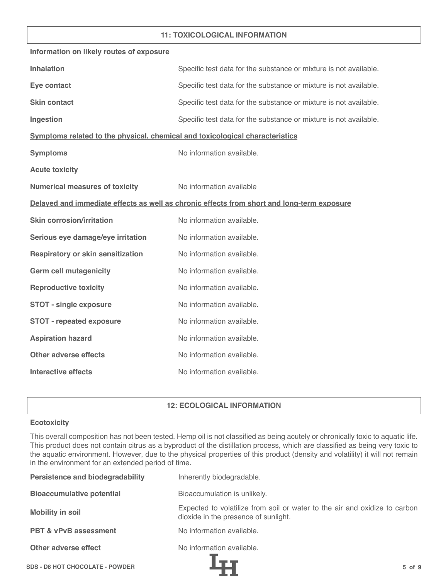## **11: TOXICOLOGICAL INFORMATION**

| Information on likely routes of exposure                                     |                                                                                            |
|------------------------------------------------------------------------------|--------------------------------------------------------------------------------------------|
| <b>Inhalation</b>                                                            | Specific test data for the substance or mixture is not available.                          |
| Eye contact                                                                  | Specific test data for the substance or mixture is not available.                          |
| <b>Skin contact</b>                                                          | Specific test data for the substance or mixture is not available.                          |
| Ingestion                                                                    | Specific test data for the substance or mixture is not available.                          |
| Symptoms related to the physical, chemical and toxicological characteristics |                                                                                            |
| <b>Symptoms</b>                                                              | No information available.                                                                  |
| <b>Acute toxicity</b>                                                        |                                                                                            |
| <b>Numerical measures of toxicity</b>                                        | No information available                                                                   |
|                                                                              | Delayed and immediate effects as well as chronic effects from short and long-term exposure |
| <b>Skin corrosion/irritation</b>                                             | No information available.                                                                  |
| Serious eye damage/eye irritation                                            | No information available.                                                                  |
| Respiratory or skin sensitization                                            | No information available.                                                                  |
| <b>Germ cell mutagenicity</b>                                                | No information available.                                                                  |
| <b>Reproductive toxicity</b>                                                 | No information available.                                                                  |
| <b>STOT - single exposure</b>                                                | No information available.                                                                  |
| <b>STOT - repeated exposure</b>                                              | No information available.                                                                  |
| <b>Aspiration hazard</b>                                                     | No information available.                                                                  |
| <b>Other adverse effects</b>                                                 | No information available.                                                                  |
| <b>Interactive effects</b>                                                   | No information available.                                                                  |

# **12: ECOLOGICAL INFORMATION**

## **Ecotoxicity**

This overall composition has not been tested. Hemp oil is not classified as being acutely or chronically toxic to aquatic life. This product does not contain citrus as a byproduct of the distillation process, which are classified as being very toxic to the aquatic environment. However, due to the physical properties of this product (density and volatility) it will not remain in the environment for an extended period of time.

| <b>Persistence and biodegradability</b> | Inherently biodegradable.                                                                                          |
|-----------------------------------------|--------------------------------------------------------------------------------------------------------------------|
| <b>Bioaccumulative potential</b>        | Bioaccumulation is unlikely.                                                                                       |
| <b>Mobility in soil</b>                 | Expected to volatilize from soil or water to the air and oxidize to carbon<br>dioxide in the presence of sunlight. |
| <b>PBT &amp; vPvB assessment</b>        | No information available.                                                                                          |
| Other adverse effect                    | No information available.                                                                                          |
| <b>SDS - D8 HOT CHOCOLATE - POWDER</b>  | $5$ of $9$                                                                                                         |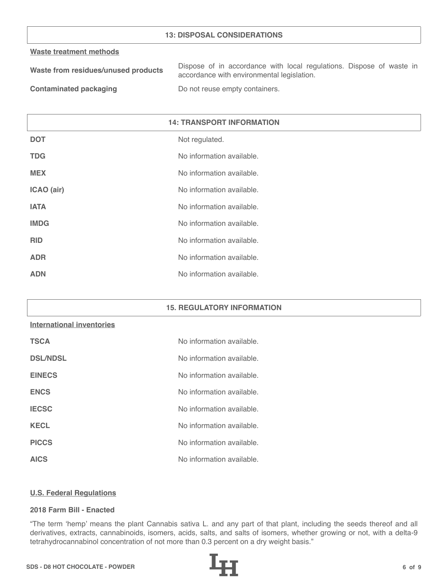## **13: DISPOSAL CONSIDERATIONS**

#### **Waste treatment methods**

| Waste from residues/unused products | Dispose of in accordance with local regulations. Dispose of waste in |
|-------------------------------------|----------------------------------------------------------------------|
|                                     | accordance with environmental legislation.                           |
| _____                               |                                                                      |

**Contaminated packaging The Contaminated packaging Containers.** 

| <b>14: TRANSPORT INFORMATION</b> |                           |
|----------------------------------|---------------------------|
| <b>DOT</b>                       | Not regulated.            |
| <b>TDG</b>                       | No information available. |
| <b>MEX</b>                       | No information available. |
| ICAO (air)                       | No information available. |
| <b>IATA</b>                      | No information available. |
| <b>IMDG</b>                      | No information available. |
| <b>RID</b>                       | No information available. |
| <b>ADR</b>                       | No information available. |
| <b>ADN</b>                       | No information available. |

#### **15. REGULATORY INFORMATION**

# **International inventories**

| <b>TSCA</b>     | No information available. |
|-----------------|---------------------------|
| <b>DSL/NDSL</b> | No information available. |
| <b>EINECS</b>   | No information available. |
| <b>ENCS</b>     | No information available. |
| <b>IECSC</b>    | No information available. |
| <b>KECL</b>     | No information available. |
| <b>PICCS</b>    | No information available. |
| <b>AICS</b>     | No information available. |

#### **U.S. Federal Regulations**

## **2018 Farm Bill - Enacted**

"The term 'hemp' means the plant Cannabis sativa L. and any part of that plant, including the seeds thereof and all derivatives, extracts, cannabinoids, isomers, acids, salts, and salts of isomers, whether growing or not, with a delta-9 tetrahydrocannabinol concentration of not more than 0.3 percent on a dry weight basis."

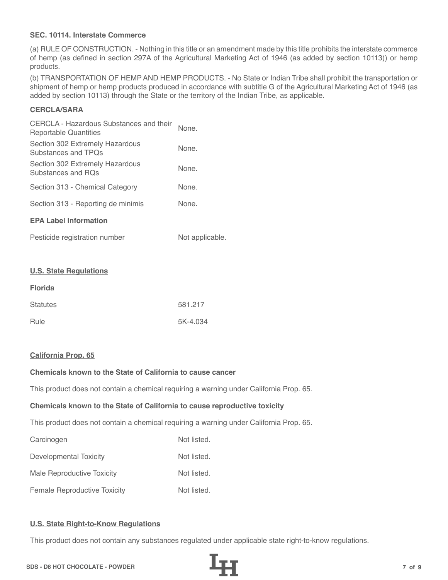## **SEC. 10114. Interstate Commerce**

(a) RULE OF CONSTRUCTION. - Nothing in this title or an amendment made by this title prohibits the interstate commerce of hemp (as defined in section 297A of the Agricultural Marketing Act of 1946 (as added by section 10113)) or hemp products.

(b) TRANSPORTATION OF HEMP AND HEMP PRODUCTS. - No State or Indian Tribe shall prohibit the transportation or shipment of hemp or hemp products produced in accordance with subtitle G of the Agricultural Marketing Act of 1946 (as added by section 10113) through the State or the territory of the Indian Tribe, as applicable.

# **CERCLA/SARA**

| CERCLA - Hazardous Substances and their<br>Reportable Quantities | None. |  |
|------------------------------------------------------------------|-------|--|
| Section 302 Extremely Hazardous<br>Substances and TPOs           | None. |  |
| Section 302 Extremely Hazardous<br>Substances and ROs            | None. |  |
| Section 313 - Chemical Category                                  | None. |  |
| Section 313 - Reporting de minimis                               | None. |  |
| <b>EPA Label Information</b>                                     |       |  |
|                                                                  |       |  |

| Pesticide registration number | Not applicable. |
|-------------------------------|-----------------|
|-------------------------------|-----------------|

#### **U.S. State Regulations**

| <b>Florida</b>  |          |
|-----------------|----------|
| <b>Statutes</b> | 581.217  |
| Rule            | 5K-4.034 |

#### **California Prop. 65**

# **Chemicals known to the State of California to cause cancer**

This product does not contain a chemical requiring a warning under California Prop. 65.

#### **Chemicals known to the State of California to cause reproductive toxicity**

This product does not contain a chemical requiring a warning under California Prop. 65.

| Carcinogen                          | Not listed. |
|-------------------------------------|-------------|
| Developmental Toxicity              | Not listed. |
| Male Reproductive Toxicity          | Not listed. |
| <b>Female Reproductive Toxicity</b> | Not listed. |

# **U.S. State Right-to-Know Regulations**

This product does not contain any substances regulated under applicable state right-to-know regulations.

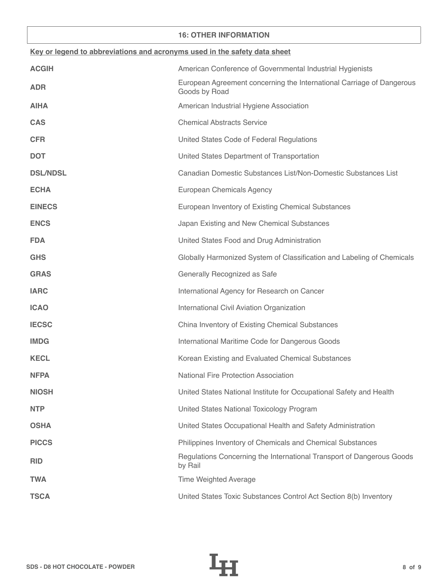## **16: OTHER INFORMATION**

| Key or legend to abbreviations and acronyms used in the safety data sheet |                                                                                        |  |
|---------------------------------------------------------------------------|----------------------------------------------------------------------------------------|--|
| <b>ACGIH</b>                                                              | American Conference of Governmental Industrial Hygienists                              |  |
| <b>ADR</b>                                                                | European Agreement concerning the International Carriage of Dangerous<br>Goods by Road |  |
| <b>AIHA</b>                                                               | American Industrial Hygiene Association                                                |  |
| <b>CAS</b>                                                                | <b>Chemical Abstracts Service</b>                                                      |  |
| <b>CFR</b>                                                                | United States Code of Federal Regulations                                              |  |
| <b>DOT</b>                                                                | United States Department of Transportation                                             |  |
| <b>DSL/NDSL</b>                                                           | Canadian Domestic Substances List/Non-Domestic Substances List                         |  |
| <b>ECHA</b>                                                               | European Chemicals Agency                                                              |  |
| <b>EINECS</b>                                                             | European Inventory of Existing Chemical Substances                                     |  |
| <b>ENCS</b>                                                               | Japan Existing and New Chemical Substances                                             |  |
| <b>FDA</b>                                                                | United States Food and Drug Administration                                             |  |
| <b>GHS</b>                                                                | Globally Harmonized System of Classification and Labeling of Chemicals                 |  |
| <b>GRAS</b>                                                               | Generally Recognized as Safe                                                           |  |
| <b>IARC</b>                                                               | International Agency for Research on Cancer                                            |  |
| <b>ICAO</b>                                                               | International Civil Aviation Organization                                              |  |
| <b>IECSC</b>                                                              | China Inventory of Existing Chemical Substances                                        |  |
| <b>IMDG</b>                                                               | International Maritime Code for Dangerous Goods                                        |  |
| <b>KECL</b>                                                               | Korean Existing and Evaluated Chemical Substances                                      |  |
| <b>NFPA</b>                                                               | National Fire Protection Association                                                   |  |
| <b>NIOSH</b>                                                              | United States National Institute for Occupational Safety and Health                    |  |
| <b>NTP</b>                                                                | United States National Toxicology Program                                              |  |
| <b>OSHA</b>                                                               | United States Occupational Health and Safety Administration                            |  |
| <b>PICCS</b>                                                              | Philippines Inventory of Chemicals and Chemical Substances                             |  |
| <b>RID</b>                                                                | Regulations Concerning the International Transport of Dangerous Goods<br>by Rail       |  |
| <b>TWA</b>                                                                | <b>Time Weighted Average</b>                                                           |  |
| <b>TSCA</b>                                                               | United States Toxic Substances Control Act Section 8(b) Inventory                      |  |